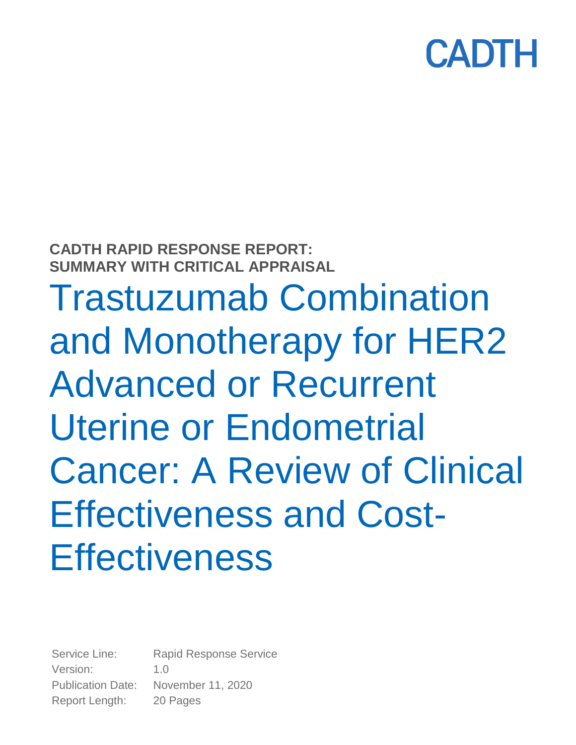

**CADTH RAPID RESPONSE REPORT: SUMMARY WITH CRITICAL APPRAISAL**

Trastuzumab Combination and Monotherapy for HER2 Advanced or Recurrent Uterine or Endometrial Cancer: A Review of Clinical Effectiveness and Cost-**Effectiveness** 

Service Line: Rapid Response Service Version: 1.0 Publication Date: November 11, 2020 Report Length: 20 Pages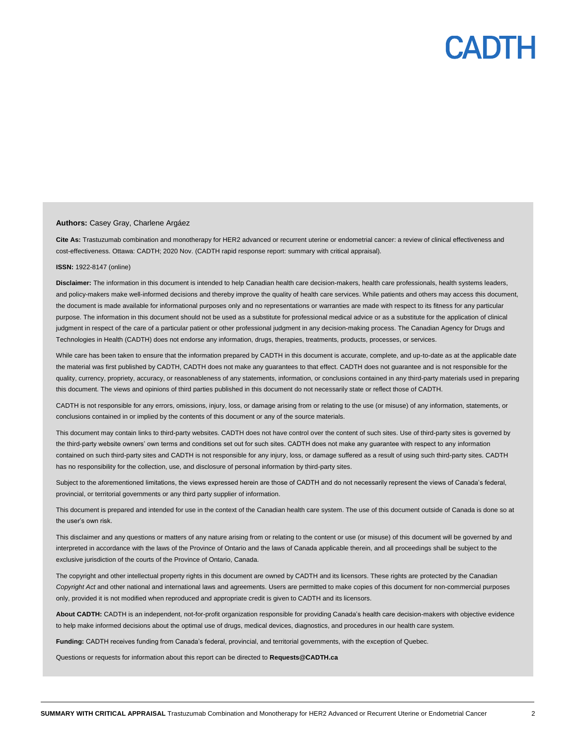#### **Authors:** Casey Gray, Charlene Argáez

**Cite As:** Trastuzumab combination and monotherapy for HER2 advanced or recurrent uterine or endometrial cancer: a review of clinical effectiveness and cost-effectiveness. Ottawa: CADTH; 2020 Nov. (CADTH rapid response report: summary with critical appraisal).

#### **ISSN:** 1922-8147 (online)

Disclaimer: The information in this document is intended to help Canadian health care decision-makers, health care professionals, health systems leaders, and policy-makers make well-informed decisions and thereby improve the quality of health care services. While patients and others may access this document, the document is made available for informational purposes only and no representations or warranties are made with respect to its fitness for any particular purpose. The information in this document should not be used as a substitute for professional medical advice or as a substitute for the application of clinical judgment in respect of the care of a particular patient or other professional judgment in any decision-making process. The Canadian Agency for Drugs and Technologies in Health (CADTH) does not endorse any information, drugs, therapies, treatments, products, processes, or services.

While care has been taken to ensure that the information prepared by CADTH in this document is accurate, complete, and up-to-date as at the applicable date the material was first published by CADTH, CADTH does not make any guarantees to that effect. CADTH does not guarantee and is not responsible for the quality, currency, propriety, accuracy, or reasonableness of any statements, information, or conclusions contained in any third-party materials used in preparing this document. The views and opinions of third parties published in this document do not necessarily state or reflect those of CADTH.

CADTH is not responsible for any errors, omissions, injury, loss, or damage arising from or relating to the use (or misuse) of any information, statements, or conclusions contained in or implied by the contents of this document or any of the source materials.

This document may contain links to third-party websites. CADTH does not have control over the content of such sites. Use of third-party sites is governed by the third-party website owners' own terms and conditions set out for such sites. CADTH does not make any guarantee with respect to any information contained on such third-party sites and CADTH is not responsible for any injury, loss, or damage suffered as a result of using such third-party sites. CADTH has no responsibility for the collection, use, and disclosure of personal information by third-party sites.

Subject to the aforementioned limitations, the views expressed herein are those of CADTH and do not necessarily represent the views of Canada's federal, provincial, or territorial governments or any third party supplier of information.

This document is prepared and intended for use in the context of the Canadian health care system. The use of this document outside of Canada is done so at the user's own risk.

This disclaimer and any questions or matters of any nature arising from or relating to the content or use (or misuse) of this document will be governed by and interpreted in accordance with the laws of the Province of Ontario and the laws of Canada applicable therein, and all proceedings shall be subject to the exclusive jurisdiction of the courts of the Province of Ontario, Canada.

The copyright and other intellectual property rights in this document are owned by CADTH and its licensors. These rights are protected by the Canadian *Copyright Act* and other national and international laws and agreements. Users are permitted to make copies of this document for non-commercial purposes only, provided it is not modified when reproduced and appropriate credit is given to CADTH and its licensors.

**About CADTH:** CADTH is an independent, not-for-profit organization responsible for providing Canada's health care decision-makers with objective evidence to help make informed decisions about the optimal use of drugs, medical devices, diagnostics, and procedures in our health care system.

**Funding:** CADTH receives funding from Canada's federal, provincial, and territorial governments, with the exception of Quebec.

Questions or requests for information about this report can be directed to **Requests@CADTH.ca**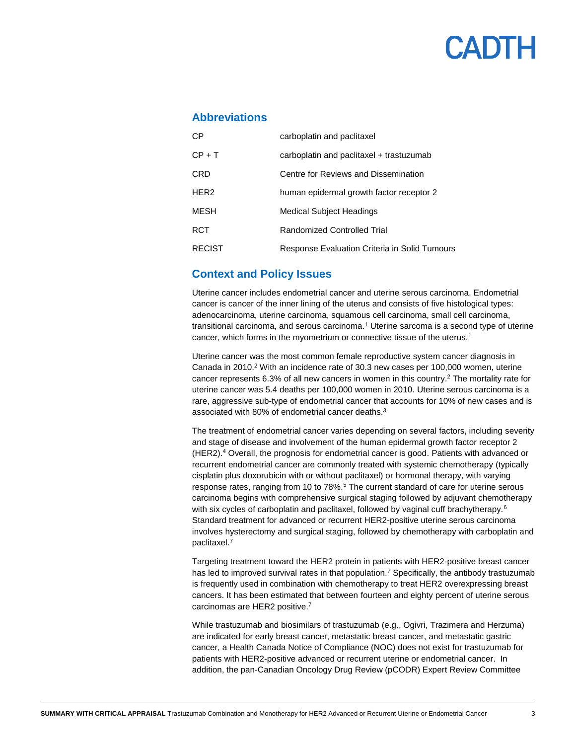### **Abbreviations**

| СP            | carboplatin and paclitaxel                    |
|---------------|-----------------------------------------------|
| $CP + T$      | carboplatin and paclitaxel + trastuzumab      |
| CRD           | Centre for Reviews and Dissemination          |
| HER2          | human epidermal growth factor receptor 2      |
| MESH          | <b>Medical Subject Headings</b>               |
| RCT           | Randomized Controlled Trial                   |
| <b>RECIST</b> | Response Evaluation Criteria in Solid Tumours |

### **Context and Policy Issues**

Uterine cancer includes endometrial cancer and uterine serous carcinoma. Endometrial cancer is cancer of the inner lining of the uterus and consists of five histological types: adenocarcinoma, uterine carcinoma, squamous cell carcinoma, small cell carcinoma, transitional carcinoma, and serous carcinoma.<sup>1</sup> Uterine sarcoma is a second type of uterine cancer, which forms in the myometrium or connective tissue of the uterus.<sup>1</sup>

Uterine cancer was the most common female reproductive system cancer diagnosis in Canada in 2010. <sup>2</sup> With an incidence rate of 30.3 new cases per 100,000 women, uterine cancer represents 6.3% of all new cancers in women in this country. <sup>2</sup> The mortality rate for uterine cancer was 5.4 deaths per 100,000 women in 2010. Uterine serous carcinoma is a rare, aggressive sub-type of endometrial cancer that accounts for 10% of new cases and is associated with 80% of endometrial cancer deaths.<sup>3</sup>

The treatment of endometrial cancer varies depending on several factors, including severity and stage of disease and involvement of the human epidermal growth factor receptor 2 (HER2). <sup>4</sup> Overall, the prognosis for endometrial cancer is good. Patients with advanced or recurrent endometrial cancer are commonly treated with systemic chemotherapy (typically cisplatin plus doxorubicin with or without paclitaxel) or hormonal therapy, with varying response rates, ranging from 10 to 78%.<sup>5</sup> The current standard of care for uterine serous carcinoma begins with comprehensive surgical staging followed by adjuvant chemotherapy with six cycles of carboplatin and paclitaxel, followed by vaginal cuff brachytherapy.<sup>6</sup> Standard treatment for advanced or recurrent HER2-positive uterine serous carcinoma involves hysterectomy and surgical staging, followed by chemotherapy with carboplatin and paclitaxel.<sup>7</sup>

Targeting treatment toward the HER2 protein in patients with HER2-positive breast cancer has led to improved survival rates in that population.<sup>7</sup> Specifically, the antibody trastuzumab is frequently used in combination with chemotherapy to treat HER2 overexpressing breast cancers. It has been estimated that between fourteen and eighty percent of uterine serous carcinomas are HER2 positive.<sup>7</sup>

While trastuzumab and biosimilars of trastuzumab (e.g.[, Ogivri,](https://pdf.hres.ca/dpd_pm/00051011.PDF) [Trazimera](https://hpr-rps.hres.ca/reg-content/summary-basis-decision-detailTwo.php?linkID=SBD00462) and [Herzuma\)](https://pdf.hres.ca/dpd_pm/00052973.PDF) are indicated for early breast cancer, metastatic breast cancer, and metastatic gastric cancer, a Health Canada Notice of Compliance (NOC) does not exist for trastuzumab for patients with HER2-positive advanced or recurrent uterine or endometrial cancer. In addition, the pan-Canadian Oncology Drug Review (pCODR) Expert Review Committee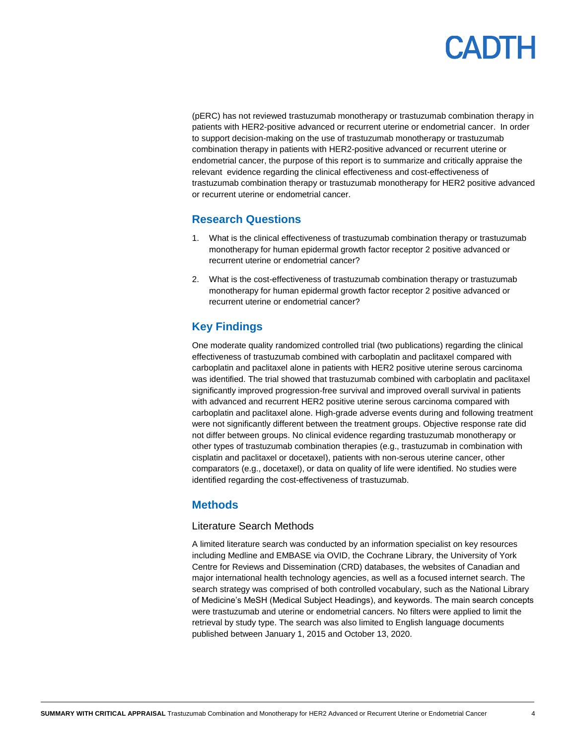(pERC) has not reviewed trastuzumab monotherapy or trastuzumab combination therapy in patients with HER2-positive advanced or recurrent uterine or endometrial cancer. In order to support decision-making on the use of trastuzumab monotherapy or trastuzumab combination therapy in patients with HER2-positive advanced or recurrent uterine or endometrial cancer, the purpose of this report is to summarize and critically appraise the relevant evidence regarding the clinical effectiveness and cost-effectiveness of trastuzumab combination therapy or trastuzumab monotherapy for HER2 positive advanced or recurrent uterine or endometrial cancer.

### **Research Questions**

- 1. What is the clinical effectiveness of trastuzumab combination therapy or trastuzumab monotherapy for human epidermal growth factor receptor 2 positive advanced or recurrent uterine or endometrial cancer?
- 2. What is the cost-effectiveness of trastuzumab combination therapy or trastuzumab monotherapy for human epidermal growth factor receptor 2 positive advanced or recurrent uterine or endometrial cancer?

### **Key Findings**

One moderate quality randomized controlled trial (two publications) regarding the clinical effectiveness of trastuzumab combined with carboplatin and paclitaxel compared with carboplatin and paclitaxel alone in patients with HER2 positive uterine serous carcinoma was identified. The trial showed that trastuzumab combined with carboplatin and paclitaxel significantly improved progression-free survival and improved overall survival in patients with advanced and recurrent HER2 positive uterine serous carcinoma compared with carboplatin and paclitaxel alone. High-grade adverse events during and following treatment were not significantly different between the treatment groups. Objective response rate did not differ between groups. No clinical evidence regarding trastuzumab monotherapy or other types of trastuzumab combination therapies (e.g., trastuzumab in combination with cisplatin and paclitaxel or docetaxel), patients with non-serous uterine cancer, other comparators (e.g., docetaxel), or data on quality of life were identified. No studies were identified regarding the cost-effectiveness of trastuzumab.

### **Methods**

#### Literature Search Methods

A limited literature search was conducted by an information specialist on key resources including Medline and EMBASE via OVID, the Cochrane Library, the University of York Centre for Reviews and Dissemination (CRD) databases, the websites of Canadian and major international health technology agencies, as well as a focused internet search. The search strategy was comprised of both controlled vocabulary, such as the National Library of Medicine's MeSH (Medical Subject Headings), and keywords. The main search concepts were trastuzumab and uterine or endometrial cancers. No filters were applied to limit the retrieval by study type. The search was also limited to English language documents published between January 1, 2015 and October 13, 2020.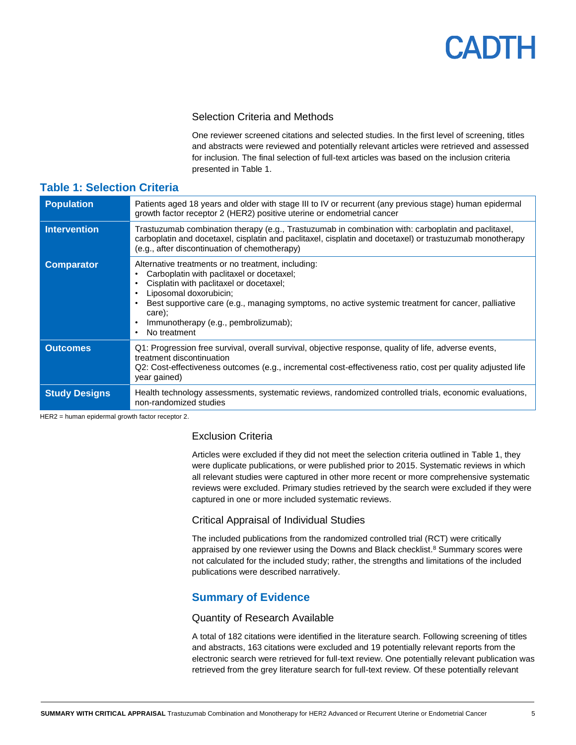#### Selection Criteria and Methods

One reviewer screened citations and selected studies. In the first level of screening, titles and abstracts were reviewed and potentially relevant articles were retrieved and assessed for inclusion. The final selection of full-text articles was based on the inclusion criteria presented in [Table 1.](#page-4-0)

| <b>Population</b>    | Patients aged 18 years and older with stage III to IV or recurrent (any previous stage) human epidermal<br>growth factor receptor 2 (HER2) positive uterine or endometrial cancer                                                                                                                                                                                                |
|----------------------|----------------------------------------------------------------------------------------------------------------------------------------------------------------------------------------------------------------------------------------------------------------------------------------------------------------------------------------------------------------------------------|
| <b>Intervention</b>  | Trastuzumab combination therapy (e.g., Trastuzumab in combination with: carboplatin and paclitaxel,<br>carboplatin and docetaxel, cisplatin and paclitaxel, cisplatin and docetaxel) or trastuzumab monotherapy<br>(e.g., after discontinuation of chemotherapy)                                                                                                                 |
| <b>Comparator</b>    | Alternative treatments or no treatment, including:<br>Carboplatin with paclitaxel or docetaxel;<br>٠<br>Cisplatin with paclitaxel or docetaxel;<br>٠<br>Liposomal doxorubicin;<br>$\bullet$<br>Best supportive care (e.g., managing symptoms, no active systemic treatment for cancer, palliative<br>care);<br>Immunotherapy (e.g., pembrolizumab);<br>$\bullet$<br>No treatment |
| <b>Outcomes</b>      | Q1: Progression free survival, overall survival, objective response, quality of life, adverse events,<br>treatment discontinuation<br>Q2: Cost-effectiveness outcomes (e.g., incremental cost-effectiveness ratio, cost per quality adjusted life<br>year gained)                                                                                                                |
| <b>Study Designs</b> | Health technology assessments, systematic reviews, randomized controlled trials, economic evaluations,<br>non-randomized studies                                                                                                                                                                                                                                                 |

### <span id="page-4-0"></span>**Table 1: Selection Criteria**

HER2 = human epidermal growth factor receptor 2.

### Exclusion Criteria

Articles were excluded if they did not meet the selection criteria outlined in [Table 1,](#page-4-0) they were duplicate publications, or were published prior to 2015. Systematic reviews in which all relevant studies were captured in other more recent or more comprehensive systematic reviews were excluded. Primary studies retrieved by the search were excluded if they were captured in one or more included systematic reviews.

#### Critical Appraisal of Individual Studies

The included publications from the randomized controlled trial (RCT) were critically appraised by one reviewer using the Downs and Black checklist. <sup>8</sup> Summary scores were not calculated for the included study; rather, the strengths and limitations of the included publications were described narratively.

### **Summary of Evidence**

#### Quantity of Research Available

A total of 182 citations were identified in the literature search. Following screening of titles and abstracts, 163 citations were excluded and 19 potentially relevant reports from the electronic search were retrieved for full-text review. One potentially relevant publication was retrieved from the grey literature search for full-text review. Of these potentially relevant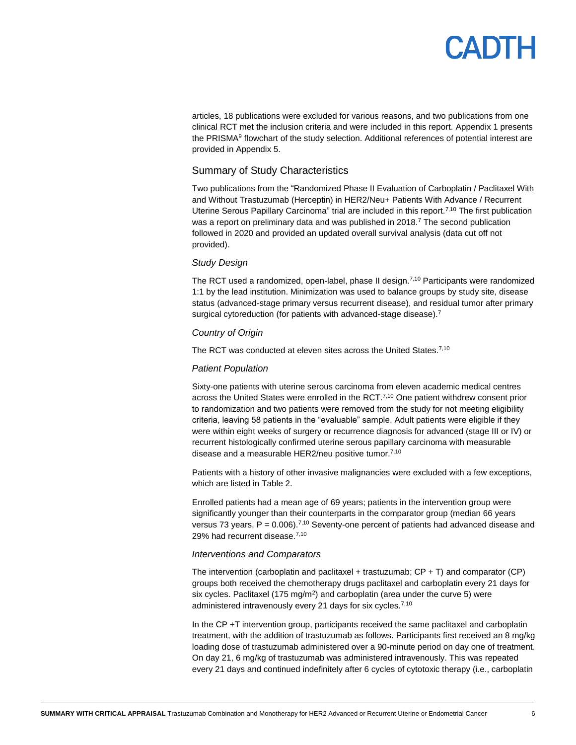# PADTH

articles, 18 publications were excluded for various reasons, and two publications from one clinical RCT met the inclusion criteria and were included in this report. [Appendix 1](#page-11-0) presents the PRISMA<sup>9</sup> flowchart of the study selection. Additional references of potential interest are provided i[n Appendix 5.](#page-19-0)

#### Summary of Study Characteristics

Two publications from the "Randomized Phase II Evaluation of Carboplatin / Paclitaxel With and Without Trastuzumab (Herceptin) in HER2/Neu+ Patients With Advance / Recurrent Uterine Serous Papillary Carcinoma" trial are included in this report.<sup>7,10</sup> The first publication was a report on preliminary data and was published in 2018.<sup>7</sup> The second publication followed in 2020 and provided an updated overall survival analysis (data cut off not provided).

#### *Study Design*

The RCT used a randomized, open-label, phase II design.<sup>7,10</sup> Participants were randomized 1:1 by the lead institution. Minimization was used to balance groups by study site, disease status (advanced-stage primary versus recurrent disease), and residual tumor after primary surgical cytoreduction (for patients with advanced-stage disease).<sup>7</sup>

#### *Country of Origin*

The RCT was conducted at eleven sites across the United States.<sup>7,10</sup>

#### *Patient Population*

Sixty-one patients with uterine serous carcinoma from eleven academic medical centres across the United States were enrolled in the RCT.<sup>7,10</sup> One patient withdrew consent prior to randomization and two patients were removed from the study for not meeting eligibility criteria, leaving 58 patients in the "evaluable" sample. Adult patients were eligible if they were within eight weeks of surgery or recurrence diagnosis for advanced (stage III or IV) or recurrent histologically confirmed uterine serous papillary carcinoma with measurable disease and a measurable HER2/neu positive tumor.<sup>7,10</sup>

Patients with a history of other invasive malignancies were excluded with a few exceptions, which are listed in [Table 2.](#page-12-0)

Enrolled patients had a mean age of 69 years; patients in the intervention group were significantly younger than their counterparts in the comparator group (median 66 years versus 73 years,  $P = 0.006$ ).<sup>7,10</sup> Seventy-one percent of patients had advanced disease and 29% had recurrent disease.<sup>7,10</sup>

#### *Interventions and Comparators*

The intervention (carboplatin and paclitaxel + trastuzumab;  $CP + T$ ) and comparator (CP) groups both received the chemotherapy drugs paclitaxel and carboplatin every 21 days for six cycles. Paclitaxel (175 mg/m<sup>2</sup>) and carboplatin (area under the curve 5) were administered intravenously every 21 days for six cycles.<sup>7,10</sup>

In the CP +T intervention group, participants received the same paclitaxel and carboplatin treatment, with the addition of trastuzumab as follows. Participants first received an 8 mg/kg loading dose of trastuzumab administered over a 90-minute period on day one of treatment. On day 21, 6 mg/kg of trastuzumab was administered intravenously. This was repeated every 21 days and continued indefinitely after 6 cycles of cytotoxic therapy (i.e., carboplatin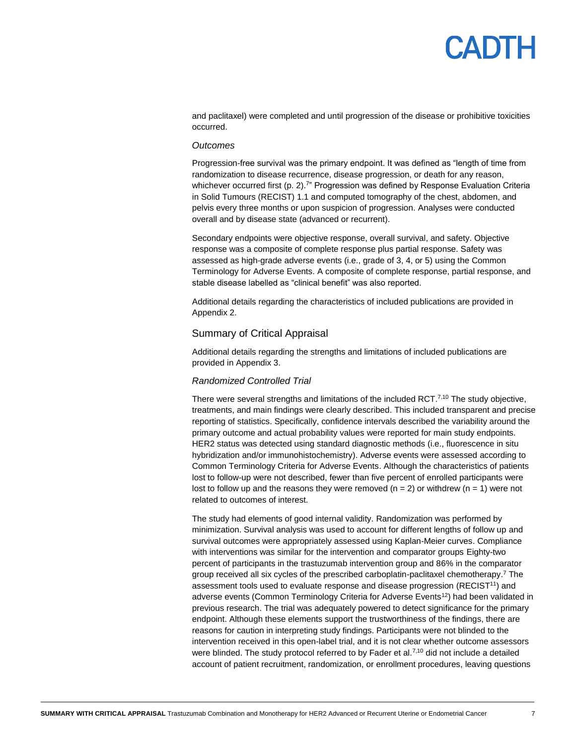# PADTH

and paclitaxel) were completed and until progression of the disease or prohibitive toxicities occurred.

#### *Outcomes*

Progression-free survival was the primary endpoint. It was defined as "length of time from randomization to disease recurrence, disease progression, or death for any reason, whichever occurred first (p. 2).<sup>7</sup>" Progression was defined by Response Evaluation Criteria in Solid Tumours (RECIST) 1.1 and computed tomography of the chest, abdomen, and pelvis every three months or upon suspicion of progression. Analyses were conducted overall and by disease state (advanced or recurrent).

Secondary endpoints were objective response, overall survival, and safety. Objective response was a composite of complete response plus partial response. Safety was assessed as high-grade adverse events (i.e., grade of 3, 4, or 5) using the Common Terminology for Adverse Events. A composite of complete response, partial response, and stable disease labelled as "clinical benefit" was also reported.

Additional details regarding the characteristics of included publications are provided in [Appendix 2.](#page-12-1)

#### Summary of Critical Appraisal

Additional details regarding the strengths and limitations of included publications are provided i[n Appendix 3.](#page-14-0)

#### *Randomized Controlled Trial*

There were several strengths and limitations of the included RCT.<sup>7,10</sup> The study objective, treatments, and main findings were clearly described. This included transparent and precise reporting of statistics. Specifically, confidence intervals described the variability around the primary outcome and actual probability values were reported for main study endpoints. HER2 status was detected using standard diagnostic methods (i.e., fluorescence in situ hybridization and/or immunohistochemistry). Adverse events were assessed according to Common Terminology Criteria for Adverse Events. Although the characteristics of patients lost to follow-up were not described, fewer than five percent of enrolled participants were lost to follow up and the reasons they were removed  $(n = 2)$  or withdrew  $(n = 1)$  were not related to outcomes of interest.

The study had elements of good internal validity. Randomization was performed by minimization. Survival analysis was used to account for different lengths of follow up and survival outcomes were appropriately assessed using Kaplan-Meier curves. Compliance with interventions was similar for the intervention and comparator groups Eighty-two percent of participants in the trastuzumab intervention group and 86% in the comparator group received all six cycles of the prescribed carboplatin-paclitaxel chemotherapy. <sup>7</sup> The assessment tools used to evaluate response and disease progression (RECIST<sup>11</sup>) and adverse events (Common Terminology Criteria for Adverse Events<sup>12</sup>) had been validated in previous research. The trial was adequately powered to detect significance for the primary endpoint. Although these elements support the trustworthiness of the findings, there are reasons for caution in interpreting study findings. Participants were not blinded to the intervention received in this open-label trial, and it is not clear whether outcome assessors were blinded. The study protocol referred to by Fader et al.<sup>7,10</sup> did not include a detailed account of patient recruitment, randomization, or enrollment procedures, leaving questions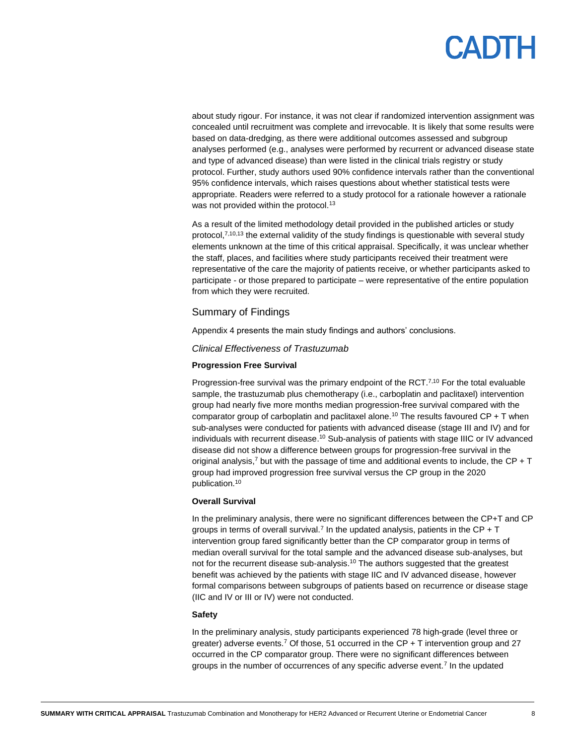about study rigour. For instance, it was not clear if randomized intervention assignment was concealed until recruitment was complete and irrevocable. It is likely that some results were based on data-dredging, as there were additional outcomes assessed and subgroup analyses performed (e.g., analyses were performed by recurrent or advanced disease state and type of advanced disease) than were listed in the clinical trials registry or study protocol. Further, study authors used 90% confidence intervals rather than the conventional 95% confidence intervals, which raises questions about whether statistical tests were appropriate. Readers were referred to a study protocol for a rationale however a rationale was not provided within the protocol.<sup>13</sup>

As a result of the limited methodology detail provided in the published articles or study protocol, $7,10,13$  the external validity of the study findings is questionable with several study elements unknown at the time of this critical appraisal. Specifically, it was unclear whether the staff, places, and facilities where study participants received their treatment were representative of the care the majority of patients receive, or whether participants asked to participate - or those prepared to participate – were representative of the entire population from which they were recruited.

#### Summary of Findings

[Appendix 4](#page-15-0) presents the main study findings and authors' conclusions.

*Clinical Effectiveness of Trastuzumab*

#### **Progression Free Survival**

Progression-free survival was the primary endpoint of the RCT.<sup>7,10</sup> For the total evaluable sample, the trastuzumab plus chemotherapy (i.e., carboplatin and paclitaxel) intervention group had nearly five more months median progression-free survival compared with the comparator group of carboplatin and paclitaxel alone.<sup>10</sup> The results favoured  $\text{CP} + \text{T}$  when sub-analyses were conducted for patients with advanced disease (stage III and IV) and for individuals with recurrent disease.<sup>10</sup> Sub-analysis of patients with stage IIIC or IV advanced disease did not show a difference between groups for progression-free survival in the original analysis,<sup>7</sup> but with the passage of time and additional events to include, the CP + T group had improved progression free survival versus the CP group in the 2020 publication.<sup>10</sup>

#### **Overall Survival**

In the preliminary analysis, there were no significant differences between the CP+T and CP groups in terms of overall survival.<sup>7</sup> In the updated analysis, patients in the CP  $+T$ intervention group fared significantly better than the CP comparator group in terms of median overall survival for the total sample and the advanced disease sub-analyses, but not for the recurrent disease sub-analysis.<sup>10</sup> The authors suggested that the greatest benefit was achieved by the patients with stage IIC and IV advanced disease, however formal comparisons between subgroups of patients based on recurrence or disease stage (IIC and IV or III or IV) were not conducted.

#### **Safety**

In the preliminary analysis, study participants experienced 78 high-grade (level three or greater) adverse events.<sup>7</sup> Of those, 51 occurred in the CP + T intervention group and 27 occurred in the CP comparator group. There were no significant differences between groups in the number of occurrences of any specific adverse event.<sup>7</sup> In the updated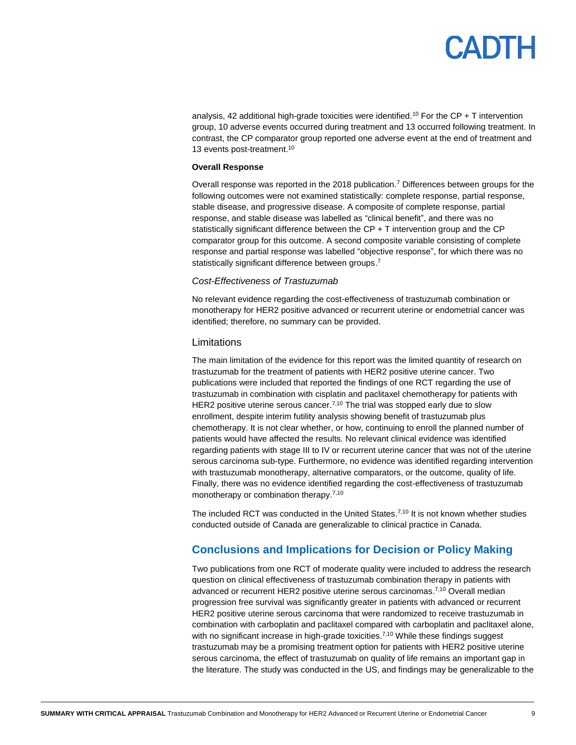# **PANTH**

analysis, 42 additional high-grade toxicities were identified.<sup>10</sup> For the CP + T intervention group, 10 adverse events occurred during treatment and 13 occurred following treatment. In contrast, the CP comparator group reported one adverse event at the end of treatment and 13 events post-treatment. 10

#### **Overall Response**

Overall response was reported in the 2018 publication.<sup>7</sup> Differences between groups for the following outcomes were not examined statistically: complete response, partial response, stable disease, and progressive disease. A composite of complete response, partial response, and stable disease was labelled as "clinical benefit", and there was no statistically significant difference between the CP + T intervention group and the CP comparator group for this outcome. A second composite variable consisting of complete response and partial response was labelled "objective response", for which there was no statistically significant difference between groups.<sup>7</sup>

#### *Cost-Effectiveness of Trastuzumab*

No relevant evidence regarding the cost-effectiveness of trastuzumab combination or monotherapy for HER2 positive advanced or recurrent uterine or endometrial cancer was identified; therefore, no summary can be provided.

#### **Limitations**

The main limitation of the evidence for this report was the limited quantity of research on trastuzumab for the treatment of patients with HER2 positive uterine cancer. Two publications were included that reported the findings of one RCT regarding the use of trastuzumab in combination with cisplatin and paclitaxel chemotherapy for patients with HER2 positive uterine serous cancer.<sup>7,10</sup> The trial was stopped early due to slow enrollment, despite interim futility analysis showing benefit of trastuzumab plus chemotherapy. It is not clear whether, or how, continuing to enroll the planned number of patients would have affected the results. No relevant clinical evidence was identified regarding patients with stage III to IV or recurrent uterine cancer that was not of the uterine serous carcinoma sub-type. Furthermore, no evidence was identified regarding intervention with trastuzumab monotherapy, alternative comparators, or the outcome, quality of life. Finally, there was no evidence identified regarding the cost-effectiveness of trastuzumab monotherapy or combination therapy.<sup>7,10</sup>

The included RCT was conducted in the United States.<sup>7,10</sup> It is not known whether studies conducted outside of Canada are generalizable to clinical practice in Canada.

### **Conclusions and Implications for Decision or Policy Making**

Two publications from one RCT of moderate quality were included to address the research question on clinical effectiveness of trastuzumab combination therapy in patients with advanced or recurrent HER2 positive uterine serous carcinomas. 7,10 Overall median progression free survival was significantly greater in patients with advanced or recurrent HER2 positive uterine serous carcinoma that were randomized to receive trastuzumab in combination with carboplatin and paclitaxel compared with carboplatin and paclitaxel alone, with no significant increase in high-grade toxicities.<sup>7,10</sup> While these findings suggest trastuzumab may be a promising treatment option for patients with HER2 positive uterine serous carcinoma, the effect of trastuzumab on quality of life remains an important gap in the literature. The study was conducted in the US, and findings may be generalizable to the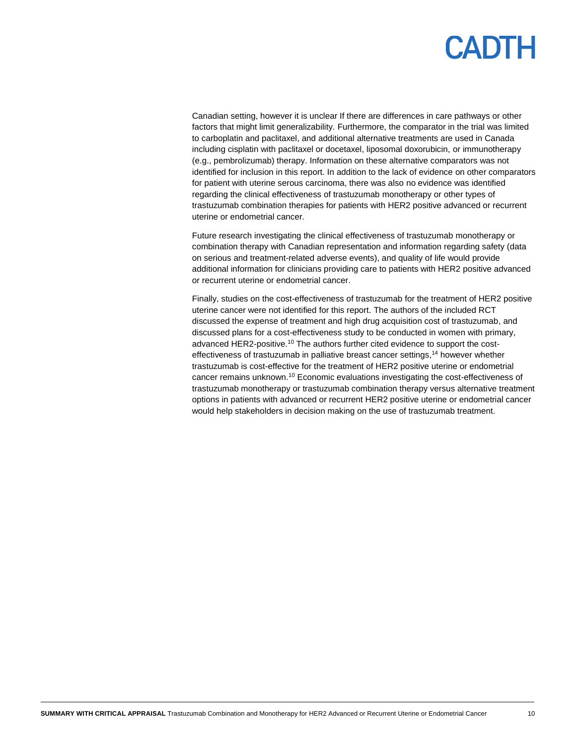Canadian setting, however it is unclear If there are differences in care pathways or other factors that might limit generalizability. Furthermore, the comparator in the trial was limited to carboplatin and paclitaxel, and additional alternative treatments are used in Canada including cisplatin with paclitaxel or docetaxel, liposomal doxorubicin, or immunotherapy (e.g., pembrolizumab) therapy. Information on these alternative comparators was not identified for inclusion in this report. In addition to the lack of evidence on other comparators for patient with uterine serous carcinoma, there was also no evidence was identified regarding the clinical effectiveness of trastuzumab monotherapy or other types of trastuzumab combination therapies for patients with HER2 positive advanced or recurrent uterine or endometrial cancer.

Future research investigating the clinical effectiveness of trastuzumab monotherapy or combination therapy with Canadian representation and information regarding safety (data on serious and treatment-related adverse events), and quality of life would provide additional information for clinicians providing care to patients with HER2 positive advanced or recurrent uterine or endometrial cancer.

Finally, studies on the cost-effectiveness of trastuzumab for the treatment of HER2 positive uterine cancer were not identified for this report. The authors of the included RCT discussed the expense of treatment and high drug acquisition cost of trastuzumab, and discussed plans for a cost-effectiveness study to be conducted in women with primary, advanced HER2-positive.<sup>10</sup> The authors further cited evidence to support the costeffectiveness of trastuzumab in palliative breast cancer settings,<sup>14</sup> however whether trastuzumab is cost-effective for the treatment of HER2 positive uterine or endometrial cancer remains unknown.<sup>10</sup> Economic evaluations investigating the cost-effectiveness of trastuzumab monotherapy or trastuzumab combination therapy versus alternative treatment options in patients with advanced or recurrent HER2 positive uterine or endometrial cancer would help stakeholders in decision making on the use of trastuzumab treatment.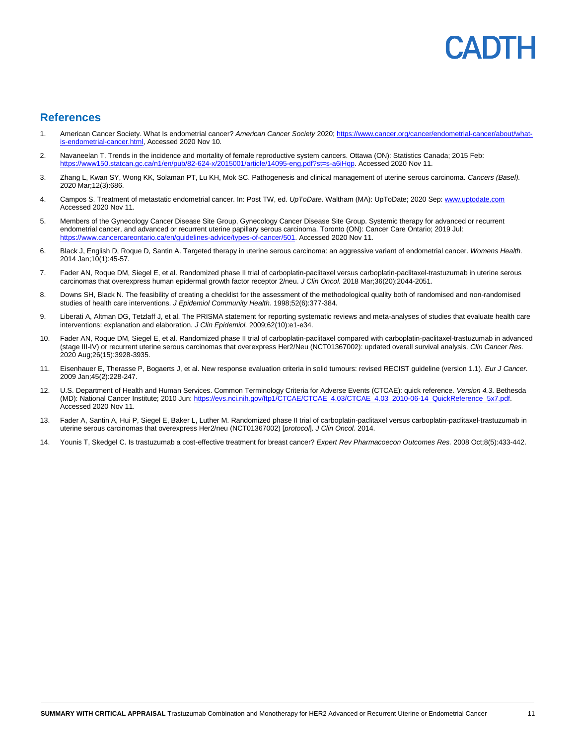# ENDIH

#### **References**

- 1. American Cancer Society. What Is endometrial cancer? *American Cancer Society* 2020[; https://www.cancer.org/cancer/endometrial-cancer/about/what](https://www.cancer.org/cancer/endometrial-cancer/about/what-is-endometrial-cancer.html)s-endometrial-cancer.html, Accessed 2020 Nov 10.
- 2. Navaneelan T. Trends in the incidence and mortality of female reproductive system cancers. Ottawa (ON): Statistics Canada; 2015 Feb: [https://www150.statcan.gc.ca/n1/en/pub/82-624-x/2015001/article/14095-eng.pdf?st=s-a6iHqp.](https://www150.statcan.gc.ca/n1/en/pub/82-624-x/2015001/article/14095-eng.pdf?st=s-a6iHqp) Accessed 2020 Nov 11.
- 3. Zhang L, Kwan SY, Wong KK, Solaman PT, Lu KH, Mok SC. Pathogenesis and clinical management of uterine serous carcinoma. *Cancers (Basel).*  2020 Mar;12(3):686.
- 4. Campos S. Treatment of metastatic endometrial cancer. In: Post TW, ed. *UpToDate*. Waltham (MA): UpToDate; 2020 Sep: [www.uptodate.com](file://///cadth-shares/Proj-Ctrl_Intake/Active/RC1319%20Trastuzumab%20for%20USC/Drafts/www.uptodate.com) Accessed 2020 Nov 11.
- 5. Members of the Gynecology Cancer Disease Site Group, Gynecology Cancer Disease Site Group. Systemic therapy for advanced or recurrent endometrial cancer, and advanced or recurrent uterine papillary serous carcinoma. Toronto (ON): Cancer Care Ontario; 2019 Jul: [https://www.cancercareontario.ca/en/guidelines-advice/types-of-cancer/501.](https://www.cancercareontario.ca/en/guidelines-advice/types-of-cancer/501) Accessed 2020 Nov 11.
- 6. Black J, English D, Roque D, Santin A. Targeted therapy in uterine serous carcinoma: an aggressive variant of endometrial cancer. *Womens Health.*  2014 Jan;10(1):45-57.
- 7. Fader AN, Roque DM, Siegel E, et al. Randomized phase II trial of carboplatin-paclitaxel versus carboplatin-paclitaxel-trastuzumab in uterine serous carcinomas that overexpress human epidermal growth factor receptor 2/neu. *J Clin Oncol.* 2018 Mar;36(20):2044-2051.
- 8. Downs SH, Black N. The feasibility of creating a checklist for the assessment of the methodological quality both of randomised and non-randomised studies of health care interventions. *J Epidemiol Community Health.* 1998;52(6):377-384.
- 9. Liberati A, Altman DG, Tetzlaff J, et al. The PRISMA statement for reporting systematic reviews and meta-analyses of studies that evaluate health care interventions: explanation and elaboration. *J Clin Epidemiol.* 2009;62(10):e1-e34.
- 10. Fader AN, Roque DM, Siegel E, et al. Randomized phase II trial of carboplatin-paclitaxel compared with carboplatin-paclitaxel-trastuzumab in advanced (stage III-IV) or recurrent uterine serous carcinomas that overexpress Her2/Neu (NCT01367002): updated overall survival analysis. *Clin Cancer Res.*  2020 Aug;26(15):3928-3935.
- 11. Eisenhauer E, Therasse P, Bogaerts J, et al. New response evaluation criteria in solid tumours: revised RECIST guideline (version 1.1). *Eur J Cancer.*  2009 Jan;45(2):228-247.
- 12. U.S. Department of Health and Human Services. Common Terminology Criteria for Adverse Events (CTCAE): quick reference. *Version 4.3*. Bethesda (MD): National Cancer Institute; 2010 Jun: [https://evs.nci.nih.gov/ftp1/CTCAE/CTCAE\\_4.03/CTCAE\\_4.03\\_2010-06-14\\_QuickReference\\_5x7.pdf.](https://evs.nci.nih.gov/ftp1/CTCAE/CTCAE_4.03/CTCAE_4.03_2010-06-14_QuickReference_5x7.pdf) Accessed 2020 Nov 11.
- 13. Fader A, Santin A, Hui P, Siegel E, Baker L, Luther M. Randomized phase II trial of carboplatin-paclitaxel versus carboplatin-paclitaxel-trastuzumab in uterine serous carcinomas that overexpress Her2/neu (NCT01367002) [*protocol*]. *J Clin Oncol.* 2014.
- 14. Younis T, Skedgel C. Is trastuzumab a cost-effective treatment for breast cancer? *Expert Rev Pharmacoecon Outcomes Res.* 2008 Oct;8(5):433-442.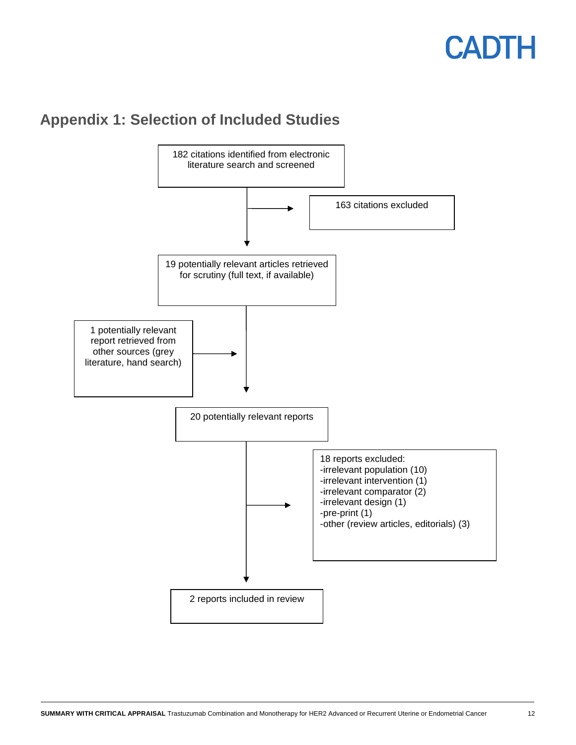## <span id="page-11-0"></span>**Appendix 1: Selection of Included Studies**

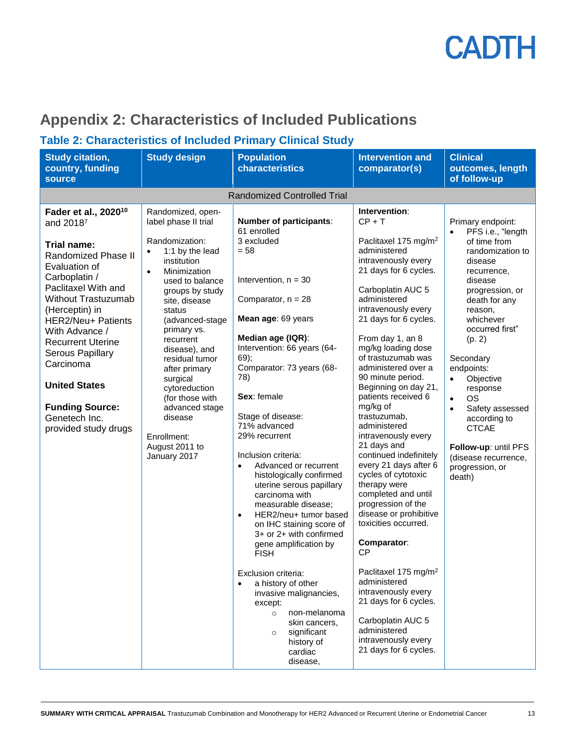

## <span id="page-12-1"></span>**Appendix 2: Characteristics of Included Publications**

### <span id="page-12-0"></span>**Table 2: Characteristics of Included Primary Clinical Study**

| <b>Study citation,</b><br>country, funding<br>source                                                                                                                                                                                                                                                                                                                                         | <b>Study design</b>                                                                                                                                                                                                                                                                                                                                                                                                                       | <b>Population</b><br>characteristics                                                                                                                                                                                                                                                                                                                                                                                                                                                                                                                                                                                                                                                                                                                                                                                  | <b>Intervention and</b><br>comparator(s)                                                                                                                                                                                                                                                                                                                                                                                                                                                                                                                                                                                                                                                                                                                                                                                                                                      | <b>Clinical</b><br>outcomes, length<br>of follow-up                                                                                                                                                                                                                                                                                                                                                                                              |
|----------------------------------------------------------------------------------------------------------------------------------------------------------------------------------------------------------------------------------------------------------------------------------------------------------------------------------------------------------------------------------------------|-------------------------------------------------------------------------------------------------------------------------------------------------------------------------------------------------------------------------------------------------------------------------------------------------------------------------------------------------------------------------------------------------------------------------------------------|-----------------------------------------------------------------------------------------------------------------------------------------------------------------------------------------------------------------------------------------------------------------------------------------------------------------------------------------------------------------------------------------------------------------------------------------------------------------------------------------------------------------------------------------------------------------------------------------------------------------------------------------------------------------------------------------------------------------------------------------------------------------------------------------------------------------------|-------------------------------------------------------------------------------------------------------------------------------------------------------------------------------------------------------------------------------------------------------------------------------------------------------------------------------------------------------------------------------------------------------------------------------------------------------------------------------------------------------------------------------------------------------------------------------------------------------------------------------------------------------------------------------------------------------------------------------------------------------------------------------------------------------------------------------------------------------------------------------|--------------------------------------------------------------------------------------------------------------------------------------------------------------------------------------------------------------------------------------------------------------------------------------------------------------------------------------------------------------------------------------------------------------------------------------------------|
|                                                                                                                                                                                                                                                                                                                                                                                              |                                                                                                                                                                                                                                                                                                                                                                                                                                           | <b>Randomized Controlled Trial</b>                                                                                                                                                                                                                                                                                                                                                                                                                                                                                                                                                                                                                                                                                                                                                                                    |                                                                                                                                                                                                                                                                                                                                                                                                                                                                                                                                                                                                                                                                                                                                                                                                                                                                               |                                                                                                                                                                                                                                                                                                                                                                                                                                                  |
| Fader et al., 2020 <sup>10</sup><br>and 20187<br><b>Trial name:</b><br>Randomized Phase II<br>Evaluation of<br>Carboplatin /<br>Paclitaxel With and<br>Without Trastuzumab<br>(Herceptin) in<br>HER2/Neu+ Patients<br>With Advance /<br><b>Recurrent Uterine</b><br>Serous Papillary<br>Carcinoma<br><b>United States</b><br><b>Funding Source:</b><br>Genetech Inc.<br>provided study drugs | Randomized, open-<br>label phase II trial<br>Randomization:<br>1:1 by the lead<br>$\bullet$<br>institution<br>$\bullet$<br>Minimization<br>used to balance<br>groups by study<br>site, disease<br>status<br>(advanced-stage<br>primary vs.<br>recurrent<br>disease), and<br>residual tumor<br>after primary<br>surgical<br>cytoreduction<br>(for those with<br>advanced stage<br>disease<br>Enrollment:<br>August 2011 to<br>January 2017 | <b>Number of participants:</b><br>61 enrolled<br>3 excluded<br>$= 58$<br>Intervention, $n = 30$<br>Comparator, $n = 28$<br>Mean age: 69 years<br>Median age (IQR):<br>Intervention: 66 years (64-<br>$69)$ ;<br>Comparator: 73 years (68-<br>78)<br>Sex: female<br>Stage of disease:<br>71% advanced<br>29% recurrent<br>Inclusion criteria:<br>Advanced or recurrent<br>$\bullet$<br>histologically confirmed<br>uterine serous papillary<br>carcinoma with<br>measurable disease;<br>HER2/neu+ tumor based<br>$\bullet$<br>on IHC staining score of<br>3+ or 2+ with confirmed<br>gene amplification by<br><b>FISH</b><br>Exclusion criteria:<br>a history of other<br>invasive malignancies,<br>except:<br>non-melanoma<br>$\circ$<br>skin cancers,<br>significant<br>$\circ$<br>history of<br>cardiac<br>disease, | Intervention:<br>$CP + T$<br>Paclitaxel 175 mg/m <sup>2</sup><br>administered<br>intravenously every<br>21 days for 6 cycles.<br>Carboplatin AUC 5<br>administered<br>intravenously every<br>21 days for 6 cycles.<br>From day 1, an 8<br>mg/kg loading dose<br>of trastuzumab was<br>administered over a<br>90 minute period.<br>Beginning on day 21,<br>patients received 6<br>mg/kg of<br>trastuzumab,<br>administered<br>intravenously every<br>21 days and<br>continued indefinitely<br>every 21 days after 6<br>cycles of cytotoxic<br>therapy were<br>completed and until<br>progression of the<br>disease or prohibitive<br>toxicities occurred.<br>Comparator:<br><b>CP</b><br>Paclitaxel 175 mg/m <sup>2</sup><br>administered<br>intravenously every<br>21 days for 6 cycles.<br>Carboplatin AUC 5<br>administered<br>intravenously every<br>21 days for 6 cycles. | Primary endpoint:<br>PFS i.e., "length<br>$\bullet$<br>of time from<br>randomization to<br>disease<br>recurrence,<br>disease<br>progression, or<br>death for any<br>reason,<br>whichever<br>occurred first"<br>(p. 2)<br>Secondary<br>endpoints:<br>Objective<br>$\bullet$<br>response<br><b>OS</b><br>$\bullet$<br>Safety assessed<br>according to<br><b>CTCAE</b><br>Follow-up: until PFS<br>(disease recurrence,<br>progression, or<br>death) |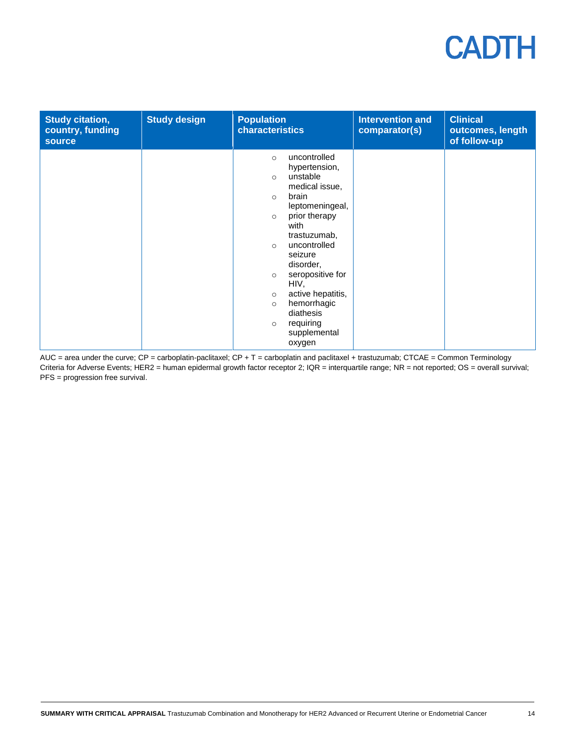| <b>Study citation,</b><br>country, funding<br><b>source</b> | <b>Study design</b> | <b>Population</b><br>characteristics                                                                                                                                                                                                                                                                                                                                                            | <b>Intervention and</b><br>comparator(s) | <b>Clinical</b><br>outcomes, length<br>of follow-up |
|-------------------------------------------------------------|---------------------|-------------------------------------------------------------------------------------------------------------------------------------------------------------------------------------------------------------------------------------------------------------------------------------------------------------------------------------------------------------------------------------------------|------------------------------------------|-----------------------------------------------------|
|                                                             |                     | uncontrolled<br>$\circ$<br>hypertension,<br>unstable<br>$\circ$<br>medical issue,<br>brain<br>$\circ$<br>leptomeningeal,<br>prior therapy<br>$\circ$<br>with<br>trastuzumab,<br>uncontrolled<br>$\circ$<br>seizure<br>disorder,<br>seropositive for<br>$\circ$<br>HIV,<br>active hepatitis,<br>$\circ$<br>hemorrhagic<br>$\circ$<br>diathesis<br>requiring<br>$\circ$<br>supplemental<br>oxygen |                                          |                                                     |

AUC = area under the curve; CP = carboplatin-paclitaxel; CP + T = carboplatin and paclitaxel + trastuzumab; CTCAE = Common Terminology Criteria for Adverse Events; HER2 = human epidermal growth factor receptor 2; IQR = interquartile range; NR = not reported; OS = overall survival; PFS = progression free survival.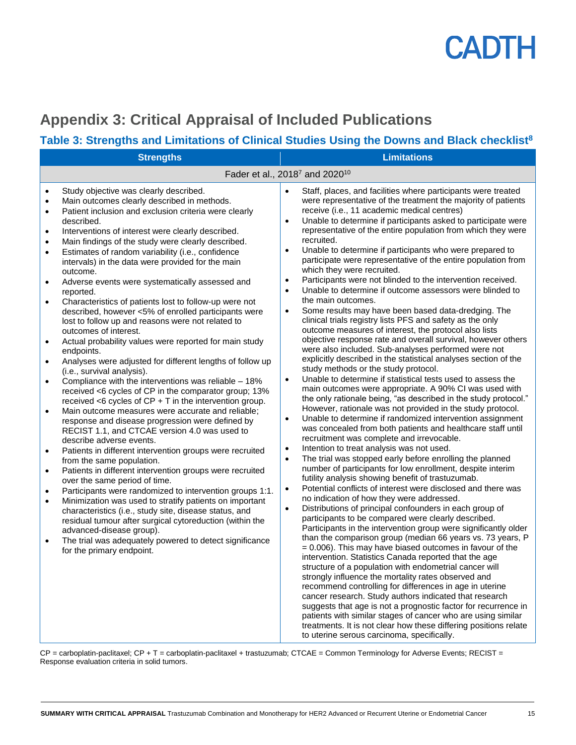

## <span id="page-14-0"></span>**Appendix 3: Critical Appraisal of Included Publications**

### **Table 3: Strengths and Limitations of Clinical Studies Using the Downs and Black checklist<sup>8</sup>**

| <b>Strengths</b>                                                                                                                                                                                                                                                                                                                                                                                                                                                                                                                                                                                                                                                                                                                                                                                                                                                                                                                                                                                                                                                                                                                                                                                                                                                                                                                                                                                                                                                                                                                                                                                                                                                                                                                                                                                                                                                                                                                                                                          | <b>Limitations</b>                                                                                                                                                                                                                                                                                                                                                                                                                                                                                                                                                                                                                                                                                                                                                                                                                                                                                                                                                                                                                                                                                                                                                                                                                                                                                                                                                                                                                                                                                                                                                                                                                                                                                                                                                                                                                                                                                                                                                                                                                                                                                                                                                                                                                                                                                                                                                                                                                                                                                                                                                                                                                                                                                                                                                                                                                                                   |
|-------------------------------------------------------------------------------------------------------------------------------------------------------------------------------------------------------------------------------------------------------------------------------------------------------------------------------------------------------------------------------------------------------------------------------------------------------------------------------------------------------------------------------------------------------------------------------------------------------------------------------------------------------------------------------------------------------------------------------------------------------------------------------------------------------------------------------------------------------------------------------------------------------------------------------------------------------------------------------------------------------------------------------------------------------------------------------------------------------------------------------------------------------------------------------------------------------------------------------------------------------------------------------------------------------------------------------------------------------------------------------------------------------------------------------------------------------------------------------------------------------------------------------------------------------------------------------------------------------------------------------------------------------------------------------------------------------------------------------------------------------------------------------------------------------------------------------------------------------------------------------------------------------------------------------------------------------------------------------------------|----------------------------------------------------------------------------------------------------------------------------------------------------------------------------------------------------------------------------------------------------------------------------------------------------------------------------------------------------------------------------------------------------------------------------------------------------------------------------------------------------------------------------------------------------------------------------------------------------------------------------------------------------------------------------------------------------------------------------------------------------------------------------------------------------------------------------------------------------------------------------------------------------------------------------------------------------------------------------------------------------------------------------------------------------------------------------------------------------------------------------------------------------------------------------------------------------------------------------------------------------------------------------------------------------------------------------------------------------------------------------------------------------------------------------------------------------------------------------------------------------------------------------------------------------------------------------------------------------------------------------------------------------------------------------------------------------------------------------------------------------------------------------------------------------------------------------------------------------------------------------------------------------------------------------------------------------------------------------------------------------------------------------------------------------------------------------------------------------------------------------------------------------------------------------------------------------------------------------------------------------------------------------------------------------------------------------------------------------------------------------------------------------------------------------------------------------------------------------------------------------------------------------------------------------------------------------------------------------------------------------------------------------------------------------------------------------------------------------------------------------------------------------------------------------------------------------------------------------------------------|
|                                                                                                                                                                                                                                                                                                                                                                                                                                                                                                                                                                                                                                                                                                                                                                                                                                                                                                                                                                                                                                                                                                                                                                                                                                                                                                                                                                                                                                                                                                                                                                                                                                                                                                                                                                                                                                                                                                                                                                                           | Fader et al., 2018 <sup>7</sup> and 2020 <sup>10</sup>                                                                                                                                                                                                                                                                                                                                                                                                                                                                                                                                                                                                                                                                                                                                                                                                                                                                                                                                                                                                                                                                                                                                                                                                                                                                                                                                                                                                                                                                                                                                                                                                                                                                                                                                                                                                                                                                                                                                                                                                                                                                                                                                                                                                                                                                                                                                                                                                                                                                                                                                                                                                                                                                                                                                                                                                               |
| Study objective was clearly described.<br>$\bullet$<br>Main outcomes clearly described in methods.<br>$\bullet$<br>Patient inclusion and exclusion criteria were clearly<br>$\bullet$<br>described.<br>Interventions of interest were clearly described.<br>$\bullet$<br>Main findings of the study were clearly described.<br>$\bullet$<br>Estimates of random variability (i.e., confidence<br>$\bullet$<br>intervals) in the data were provided for the main<br>outcome.<br>Adverse events were systematically assessed and<br>$\bullet$<br>reported.<br>Characteristics of patients lost to follow-up were not<br>$\bullet$<br>described, however <5% of enrolled participants were<br>lost to follow up and reasons were not related to<br>outcomes of interest.<br>Actual probability values were reported for main study<br>$\bullet$<br>endpoints.<br>Analyses were adjusted for different lengths of follow up<br>$\bullet$<br>(i.e., survival analysis).<br>Compliance with the interventions was reliable - 18%<br>$\bullet$<br>received <6 cycles of CP in the comparator group; 13%<br>received $<$ 6 cycles of CP + T in the intervention group.<br>Main outcome measures were accurate and reliable;<br>$\bullet$<br>response and disease progression were defined by<br>RECIST 1.1, and CTCAE version 4.0 was used to<br>describe adverse events.<br>Patients in different intervention groups were recruited<br>$\bullet$<br>from the same population.<br>Patients in different intervention groups were recruited<br>$\bullet$<br>over the same period of time.<br>Participants were randomized to intervention groups 1:1.<br>$\bullet$<br>Minimization was used to stratify patients on important<br>$\bullet$<br>characteristics (i.e., study site, disease status, and<br>residual tumour after surgical cytoreduction (within the<br>advanced-disease group).<br>The trial was adequately powered to detect significance<br>$\bullet$<br>for the primary endpoint. | Staff, places, and facilities where participants were treated<br>$\bullet$<br>were representative of the treatment the majority of patients<br>receive (i.e., 11 academic medical centres)<br>Unable to determine if participants asked to participate were<br>$\bullet$<br>representative of the entire population from which they were<br>recruited.<br>Unable to determine if participants who were prepared to<br>$\bullet$<br>participate were representative of the entire population from<br>which they were recruited.<br>Participants were not blinded to the intervention received.<br>$\bullet$<br>Unable to determine if outcome assessors were blinded to<br>$\bullet$<br>the main outcomes.<br>Some results may have been based data-dredging. The<br>$\bullet$<br>clinical trials registry lists PFS and safety as the only<br>outcome measures of interest, the protocol also lists<br>objective response rate and overall survival, however others<br>were also included. Sub-analyses performed were not<br>explicitly described in the statistical analyses section of the<br>study methods or the study protocol.<br>Unable to determine if statistical tests used to assess the<br>$\bullet$<br>main outcomes were appropriate. A 90% CI was used with<br>the only rationale being, "as described in the study protocol."<br>However, rationale was not provided in the study protocol.<br>Unable to determine if randomized intervention assignment<br>$\bullet$<br>was concealed from both patients and healthcare staff until<br>recruitment was complete and irrevocable.<br>Intention to treat analysis was not used.<br>$\bullet$<br>The trial was stopped early before enrolling the planned<br>$\bullet$<br>number of participants for low enrollment, despite interim<br>futility analysis showing benefit of trastuzumab.<br>Potential conflicts of interest were disclosed and there was<br>$\bullet$<br>no indication of how they were addressed.<br>Distributions of principal confounders in each group of<br>$\bullet$<br>participants to be compared were clearly described.<br>Participants in the intervention group were significantly older<br>than the comparison group (median 66 years vs. 73 years, P<br>$= 0.006$ ). This may have biased outcomes in favour of the<br>intervention. Statistics Canada reported that the age<br>structure of a population with endometrial cancer will<br>strongly influence the mortality rates observed and<br>recommend controlling for differences in age in uterine<br>cancer research. Study authors indicated that research<br>suggests that age is not a prognostic factor for recurrence in<br>patients with similar stages of cancer who are using similar<br>treatments. It is not clear how these differing positions relate<br>to uterine serous carcinoma, specifically. |

 $CP$  = carboplatin-paclitaxel;  $CP$  + T = carboplatin-paclitaxel + trastuzumab; CTCAE = Common Terminology for Adverse Events; RECIST = Response evaluation criteria in solid tumors.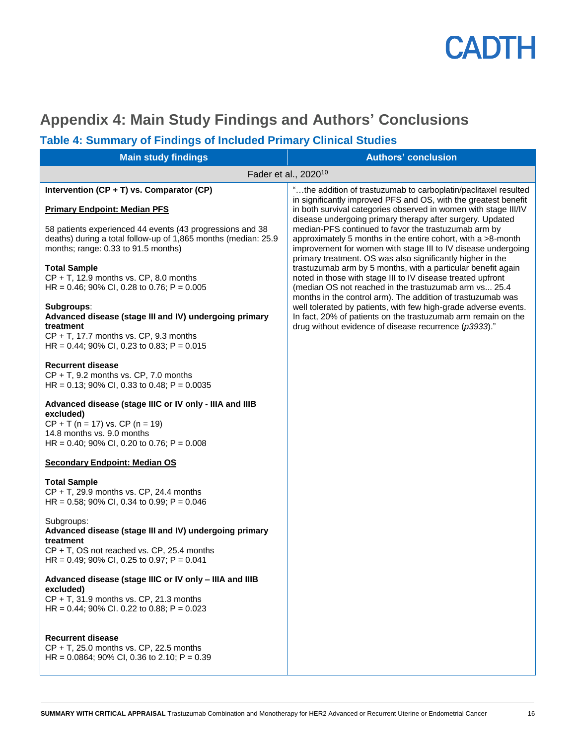

## <span id="page-15-0"></span>**Appendix 4: Main Study Findings and Authors' Conclusions**

### **Table 4: Summary of Findings of Included Primary Clinical Studies**

| <b>Main study findings</b>                                                                                                                                                                 | <b>Authors' conclusion</b>                                                                                                                                                                                                                                                                                        |
|--------------------------------------------------------------------------------------------------------------------------------------------------------------------------------------------|-------------------------------------------------------------------------------------------------------------------------------------------------------------------------------------------------------------------------------------------------------------------------------------------------------------------|
| Fader et al., 2020 <sup>10</sup>                                                                                                                                                           |                                                                                                                                                                                                                                                                                                                   |
| Intervention (CP + T) vs. Comparator (CP)<br><b>Primary Endpoint: Median PFS</b>                                                                                                           | "the addition of trastuzumab to carboplatin/paclitaxel resulted<br>in significantly improved PFS and OS, with the greatest benefit<br>in both survival categories observed in women with stage III/IV                                                                                                             |
| 58 patients experienced 44 events (43 progressions and 38<br>deaths) during a total follow-up of 1,865 months (median: 25.9<br>months; range: 0.33 to 91.5 months)                         | disease undergoing primary therapy after surgery. Updated<br>median-PFS continued to favor the trastuzumab arm by<br>approximately 5 months in the entire cohort, with a >8-month<br>improvement for women with stage III to IV disease undergoing                                                                |
| <b>Total Sample</b><br>$CP + T$ , 12.9 months vs. $CP$ , 8.0 months<br>HR = $0.46$ ; 90% CI, 0.28 to 0.76; P = 0.005                                                                       | primary treatment. OS was also significantly higher in the<br>trastuzumab arm by 5 months, with a particular benefit again<br>noted in those with stage III to IV disease treated upfront<br>(median OS not reached in the trastuzumab arm vs 25.4<br>months in the control arm). The addition of trastuzumab was |
| Subgroups:<br>Advanced disease (stage III and IV) undergoing primary<br>treatment<br>$CP + T$ , 17.7 months vs. $CP$ , 9.3 months<br>HR = $0.44$ ; 90% CI, 0.23 to 0.83; P = 0.015         | well tolerated by patients, with few high-grade adverse events.<br>In fact, 20% of patients on the trastuzumab arm remain on the<br>drug without evidence of disease recurrence (p3933)."                                                                                                                         |
| <b>Recurrent disease</b><br>$CP + T$ , 9.2 months vs. $CP$ , 7.0 months<br>HR = $0.13$ ; 90% CI, 0.33 to 0.48; P = 0.0035                                                                  |                                                                                                                                                                                                                                                                                                                   |
| Advanced disease (stage IIIC or IV only - IIIA and IIIB<br>excluded)<br>$CP + T$ (n = 17) vs. $CP$ (n = 19)<br>14.8 months vs. 9.0 months<br>HR = $0.40$ ; 90% CI, 0.20 to 0.76; P = 0.008 |                                                                                                                                                                                                                                                                                                                   |
| <b>Secondary Endpoint: Median OS</b>                                                                                                                                                       |                                                                                                                                                                                                                                                                                                                   |
| <b>Total Sample</b><br>CP + T, 29.9 months vs. CP, 24.4 months<br>HR = $0.58$ ; 90% CI, 0.34 to 0.99; P = 0.046                                                                            |                                                                                                                                                                                                                                                                                                                   |
| Subgroups:<br>Advanced disease (stage III and IV) undergoing primary<br>treatment<br>CP + T, OS not reached vs. CP, 25.4 months<br>HR = 0.49; 90% CI, 0.25 to 0.97; P = 0.041              |                                                                                                                                                                                                                                                                                                                   |
| Advanced disease (stage IIIC or IV only - IIIA and IIIB<br>excluded)<br>$CP + T$ , 31.9 months vs. $CP$ , 21.3 months<br>HR = $0.44$ ; 90% CI. 0.22 to 0.88; P = 0.023                     |                                                                                                                                                                                                                                                                                                                   |
| <b>Recurrent disease</b><br>$CP + T$ , 25.0 months vs. $CP$ , 22.5 months<br>HR = $0.0864$ ; 90% CI, 0.36 to 2.10; P = 0.39                                                                |                                                                                                                                                                                                                                                                                                                   |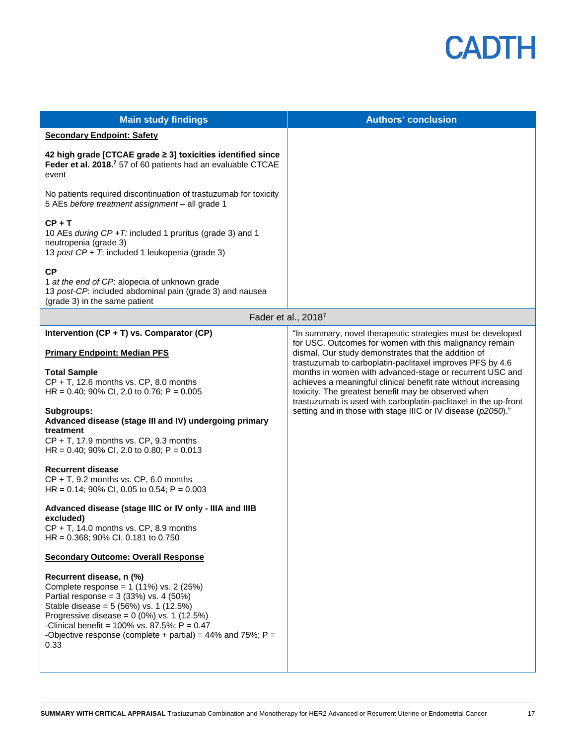| <b>Main study findings</b>                                                                                                                                                                                                                                                                                                            | <b>Authors' conclusion</b>                                                                                                                                                                                                                                                                                        |
|---------------------------------------------------------------------------------------------------------------------------------------------------------------------------------------------------------------------------------------------------------------------------------------------------------------------------------------|-------------------------------------------------------------------------------------------------------------------------------------------------------------------------------------------------------------------------------------------------------------------------------------------------------------------|
| <b>Secondary Endpoint: Safety</b>                                                                                                                                                                                                                                                                                                     |                                                                                                                                                                                                                                                                                                                   |
| 42 high grade [CTCAE grade ≥ 3] toxicities identified since<br>Feder et al. 2018. <sup>7</sup> 57 of 60 patients had an evaluable CTCAE<br>event                                                                                                                                                                                      |                                                                                                                                                                                                                                                                                                                   |
| No patients required discontinuation of trastuzumab for toxicity<br>5 AEs before treatment assignment - all grade 1                                                                                                                                                                                                                   |                                                                                                                                                                                                                                                                                                                   |
| $CP + T$<br>10 AEs during CP +T: included 1 pruritus (grade 3) and 1<br>neutropenia (grade 3)<br>13 post CP + T: included 1 leukopenia (grade 3)                                                                                                                                                                                      |                                                                                                                                                                                                                                                                                                                   |
| <b>CP</b><br>1 at the end of CP: alopecia of unknown grade<br>13 post-CP: included abdominal pain (grade 3) and nausea<br>(grade 3) in the same patient                                                                                                                                                                               |                                                                                                                                                                                                                                                                                                                   |
|                                                                                                                                                                                                                                                                                                                                       | Fader et al., 20187                                                                                                                                                                                                                                                                                               |
| Intervention (CP + T) vs. Comparator (CP)                                                                                                                                                                                                                                                                                             | "In summary, novel therapeutic strategies must be developed<br>for USC. Outcomes for women with this malignancy remain                                                                                                                                                                                            |
| <b>Primary Endpoint: Median PFS</b>                                                                                                                                                                                                                                                                                                   | dismal. Our study demonstrates that the addition of                                                                                                                                                                                                                                                               |
| <b>Total Sample</b><br>$CP + T$ , 12.6 months vs. $CP$ , 8.0 months<br>HR = $0.40$ ; 90% CI, 2.0 to 0.76; P = 0.005                                                                                                                                                                                                                   | trastuzumab to carboplatin-paclitaxel improves PFS by 4.6<br>months in women with advanced-stage or recurrent USC and<br>achieves a meaningful clinical benefit rate without increasing<br>toxicity. The greatest benefit may be observed when<br>trastuzumab is used with carboplatin-paclitaxel in the up-front |
| Subgroups:<br>Advanced disease (stage III and IV) undergoing primary<br>treatment<br>$CP + T$ , 17.9 months vs. $CP$ , 9.3 months<br>HR = $0.40$ ; 90% CI, 2.0 to 0.80; P = 0.013                                                                                                                                                     | setting and in those with stage IIIC or IV disease (p2050)."                                                                                                                                                                                                                                                      |
| <b>Recurrent disease</b><br>$CP + T$ , 9.2 months vs. $CP$ , 6.0 months<br>HR = $0.14$ ; 90% CI, 0.05 to 0.54; P = 0.003                                                                                                                                                                                                              |                                                                                                                                                                                                                                                                                                                   |
| Advanced disease (stage IIIC or IV only - IIIA and IIIB<br>excluded)<br>$CP + T$ , 14.0 months vs. $CP$ , 8.9 months<br>$HR = 0.368$ ; 90% CI, 0.181 to 0.750                                                                                                                                                                         |                                                                                                                                                                                                                                                                                                                   |
| <b>Secondary Outcome: Overall Response</b>                                                                                                                                                                                                                                                                                            |                                                                                                                                                                                                                                                                                                                   |
| Recurrent disease, n (%)<br>Complete response = $1(11%)$ vs. 2 (25%)<br>Partial response = $3(33%)$ vs. 4 (50%)<br>Stable disease = 5 (56%) vs. 1 (12.5%)<br>Progressive disease = $0(0\%)$ vs. 1 (12.5%)<br>-Clinical benefit = $100\%$ vs. 87.5%; P = 0.47<br>-Objective response (complete + partial) = 44% and 75%; $P =$<br>0.33 |                                                                                                                                                                                                                                                                                                                   |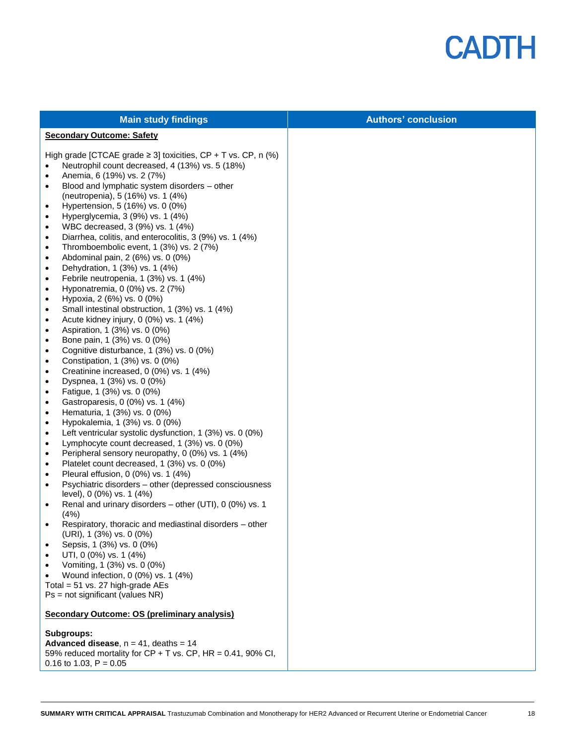

| <b>Main study findings</b>                                                                                                                                                                                                                                                                                                                                                                                                                                                                                                                                                                                                                                                                                                                                                                                                                                                                                                                                                                                                                                                                                                                                                                                                                                                                                                                                                                                                                                                                                                                                                                                                                                                                                                                                                                                                                                                                                                                                                                                                                                                                                                                                                                                                                                          | <b>Authors' conclusion</b> |
|---------------------------------------------------------------------------------------------------------------------------------------------------------------------------------------------------------------------------------------------------------------------------------------------------------------------------------------------------------------------------------------------------------------------------------------------------------------------------------------------------------------------------------------------------------------------------------------------------------------------------------------------------------------------------------------------------------------------------------------------------------------------------------------------------------------------------------------------------------------------------------------------------------------------------------------------------------------------------------------------------------------------------------------------------------------------------------------------------------------------------------------------------------------------------------------------------------------------------------------------------------------------------------------------------------------------------------------------------------------------------------------------------------------------------------------------------------------------------------------------------------------------------------------------------------------------------------------------------------------------------------------------------------------------------------------------------------------------------------------------------------------------------------------------------------------------------------------------------------------------------------------------------------------------------------------------------------------------------------------------------------------------------------------------------------------------------------------------------------------------------------------------------------------------------------------------------------------------------------------------------------------------|----------------------------|
| <b>Secondary Outcome: Safety</b>                                                                                                                                                                                                                                                                                                                                                                                                                                                                                                                                                                                                                                                                                                                                                                                                                                                                                                                                                                                                                                                                                                                                                                                                                                                                                                                                                                                                                                                                                                                                                                                                                                                                                                                                                                                                                                                                                                                                                                                                                                                                                                                                                                                                                                    |                            |
| High grade [CTCAE grade $\geq$ 3] toxicities, CP + T vs. CP, n (%)<br>Neutrophil count decreased, 4 (13%) vs. 5 (18%)<br>$\bullet$<br>Anemia, 6 (19%) vs. 2 (7%)<br>$\bullet$<br>Blood and lymphatic system disorders - other<br>$\bullet$<br>(neutropenia), 5 (16%) vs. 1 (4%)<br>Hypertension, 5 (16%) vs. 0 (0%)<br>$\bullet$<br>Hyperglycemia, 3 (9%) vs. 1 (4%)<br>$\bullet$<br>WBC decreased, 3 (9%) vs. 1 (4%)<br>$\bullet$<br>Diarrhea, colitis, and enterocolitis, 3 (9%) vs. 1 (4%)<br>$\bullet$<br>Thromboembolic event, 1 (3%) vs. 2 (7%)<br>$\bullet$<br>Abdominal pain, 2 (6%) vs. 0 (0%)<br>$\bullet$<br>Dehydration, 1 (3%) vs. 1 (4%)<br>$\bullet$<br>Febrile neutropenia, 1 (3%) vs. 1 (4%)<br>$\bullet$<br>Hyponatremia, 0 (0%) vs. 2 (7%)<br>$\bullet$<br>Hypoxia, 2 (6%) vs. 0 (0%)<br>$\bullet$<br>Small intestinal obstruction, 1 (3%) vs. 1 (4%)<br>$\bullet$<br>Acute kidney injury, 0 (0%) vs. 1 (4%)<br>$\bullet$<br>Aspiration, 1 (3%) vs. 0 (0%)<br>$\bullet$<br>Bone pain, 1 (3%) vs. 0 (0%)<br>$\bullet$<br>Cognitive disturbance, 1 (3%) vs. 0 (0%)<br>$\bullet$<br>Constipation, 1 (3%) vs. 0 (0%)<br>$\bullet$<br>Creatinine increased, 0 (0%) vs. 1 (4%)<br>$\bullet$<br>Dyspnea, 1 (3%) vs. 0 (0%)<br>$\bullet$<br>Fatigue, 1 (3%) vs. 0 (0%)<br>$\bullet$<br>Gastroparesis, 0 (0%) vs. 1 (4%)<br>$\bullet$<br>Hematuria, 1 (3%) vs. 0 (0%)<br>$\bullet$<br>Hypokalemia, 1 (3%) vs. 0 (0%)<br>$\bullet$<br>Left ventricular systolic dysfunction, 1 (3%) vs. 0 (0%)<br>$\bullet$<br>Lymphocyte count decreased, 1 (3%) vs. 0 (0%)<br>$\bullet$<br>Peripheral sensory neuropathy, 0 (0%) vs. 1 (4%)<br>$\bullet$<br>Platelet count decreased, 1 (3%) vs. 0 (0%)<br>$\bullet$<br>Pleural effusion, 0 (0%) vs. 1 (4%)<br>$\bullet$<br>Psychiatric disorders - other (depressed consciousness<br>$\bullet$<br>level), 0 (0%) vs. 1 (4%)<br>Renal and urinary disorders - other (UTI), 0 (0%) vs. 1<br>$\bullet$<br>(4%)<br>Respiratory, thoracic and mediastinal disorders - other<br>$\bullet$<br>(URI), 1 (3%) vs. 0 (0%)<br>Sepsis, 1 (3%) vs. 0 (0%)<br>UTI, 0 (0%) vs. 1 (4%)<br>Vomiting, 1 (3%) vs. 0 (0%)<br>Wound infection, 0 (0%) vs. 1 (4%)<br>Total = $51$ vs. 27 high-grade AEs<br>$Ps = not significant (values NR)$ |                            |
| <b>Secondary Outcome: OS (preliminary analysis)</b>                                                                                                                                                                                                                                                                                                                                                                                                                                                                                                                                                                                                                                                                                                                                                                                                                                                                                                                                                                                                                                                                                                                                                                                                                                                                                                                                                                                                                                                                                                                                                                                                                                                                                                                                                                                                                                                                                                                                                                                                                                                                                                                                                                                                                 |                            |
| Subgroups:<br><b>Advanced disease</b> , $n = 41$ , deaths = 14<br>59% reduced mortality for $CP + T$ vs. $CP$ , $HR = 0.41$ , 90% CI,<br>0.16 to 1.03, $P = 0.05$                                                                                                                                                                                                                                                                                                                                                                                                                                                                                                                                                                                                                                                                                                                                                                                                                                                                                                                                                                                                                                                                                                                                                                                                                                                                                                                                                                                                                                                                                                                                                                                                                                                                                                                                                                                                                                                                                                                                                                                                                                                                                                   |                            |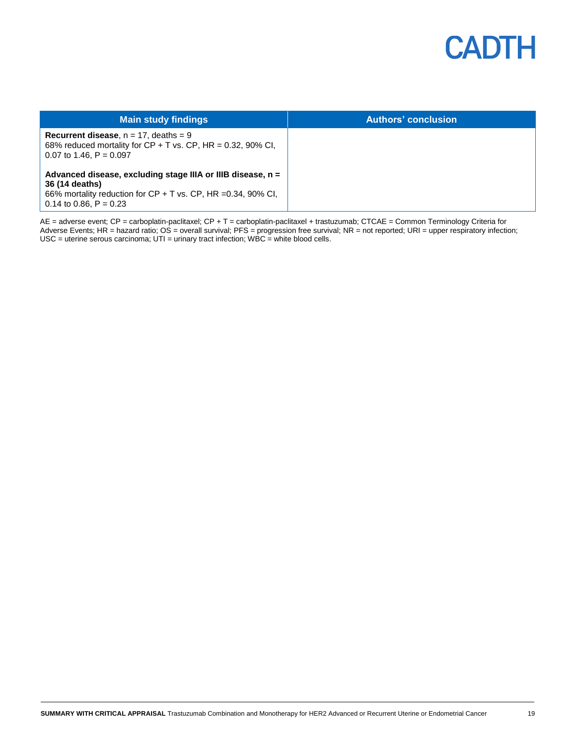

| <b>Main study findings</b>                                                                                                                           | <b>Authors' conclusion</b> |
|------------------------------------------------------------------------------------------------------------------------------------------------------|----------------------------|
| <b>Recurrent disease</b> , $n = 17$ , deaths = 9<br>68% reduced mortality for $CP + T$ vs. $CP$ , $HR = 0.32$ , 90% CI,<br>0.07 to 1.46. $P = 0.097$ |                            |
| Advanced disease, excluding stage IIIA or IIIB disease, n =<br>36 (14 deaths)                                                                        |                            |
| 66% mortality reduction for $CP + T$ vs. $CP$ , HR =0.34, 90% CI,<br>0.14 to 0.86, $P = 0.23$                                                        |                            |

AE = adverse event; CP = carboplatin-paclitaxel; CP + T = carboplatin-paclitaxel + trastuzumab; CTCAE = Common Terminology Criteria for Adverse Events; HR = hazard ratio; OS = overall survival; PFS = progression free survival; NR = not reported; URI = upper respiratory infection;  $USC =$  uterine serous carcinoma;  $UTI =$  urinary tract infection; WBC = white blood cells.